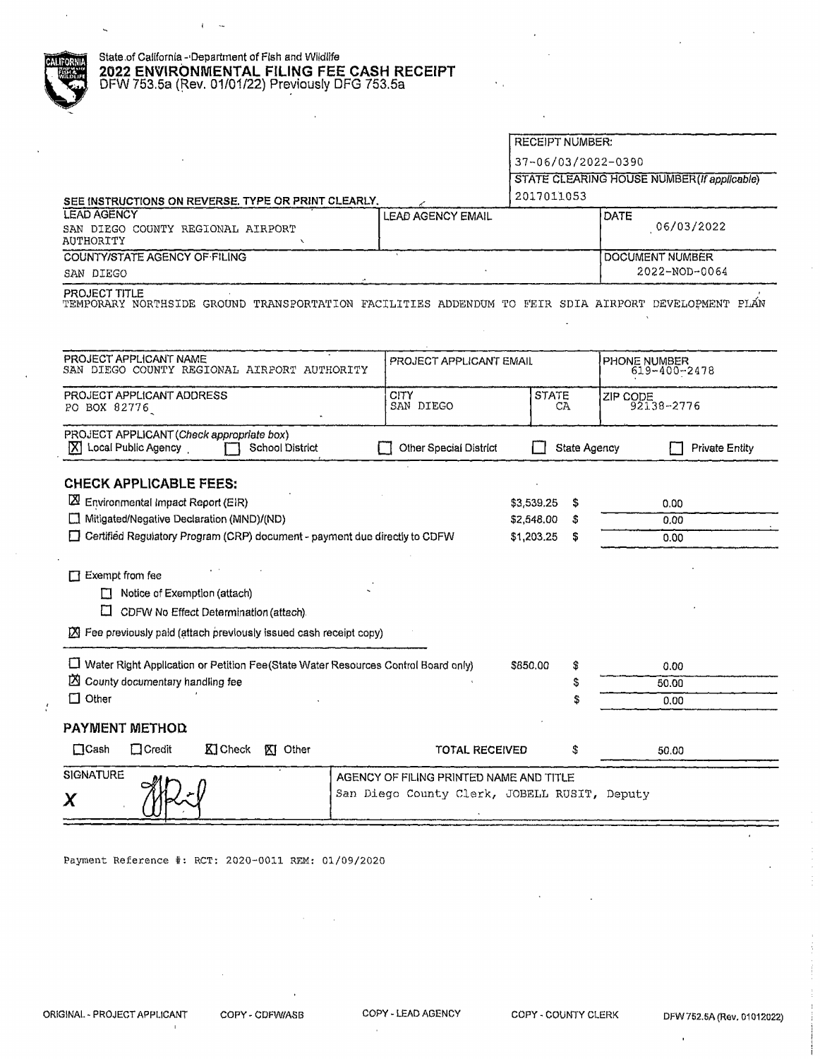|  |  | State of California - Department of Fish and Wildlife |  |
|--|--|-------------------------------------------------------|--|
|--|--|-------------------------------------------------------|--|

 $\overline{1}$  $\ddot{\phantom{a}}$ 

# **2022 ENVIRONMENTAL FILING FEE CASH RECEIPT**<br>DFW 753.5a (Rev. 01/01/22) Previously DFG 753.5a<br> **All DFW 753.5a** DFW 753.5a (Rev. 01/01/22) Previously DFG 753.5a

|                                                                                                                                                           |                                                                                         | <b>RECEIPT NUMBER:</b> |              |                                             |
|-----------------------------------------------------------------------------------------------------------------------------------------------------------|-----------------------------------------------------------------------------------------|------------------------|--------------|---------------------------------------------|
|                                                                                                                                                           |                                                                                         | 37-06/03/2022-0390     |              |                                             |
|                                                                                                                                                           |                                                                                         |                        |              | STATE CLEARING HOUSE NUMBER (If applicable) |
| SEE INSTRUCTIONS ON REVERSE. TYPE OR PRINT CLEARLY.                                                                                                       |                                                                                         | 2017011053             |              |                                             |
| LEAD AGENCY                                                                                                                                               | <b>LEAD AGENCY EMAIL</b>                                                                |                        |              | DATE                                        |
| SAN DIEGO COUNTY REGIONAL AIRPORT<br>AUTHORITY                                                                                                            |                                                                                         |                        |              | 06/03/2022                                  |
| COUNTY/STATE AGENCY OF FILING                                                                                                                             |                                                                                         |                        |              | DOCUMENT NUMBER                             |
| SAN DIEGO                                                                                                                                                 |                                                                                         |                        |              | 2022-NOD-0064                               |
| PROJECT TITLE<br>TEMPORARY NORTHSIDE GROUND TRANSPORTATION FACILITIES ADDENDUM TO FEIR SDIA AIRPORT DEVELOPMENT PLÁN                                      |                                                                                         |                        |              |                                             |
| PROJECT APPLICANT NAME<br>SAN DIEGO COUNTY REGIONAL AIRPORT AUTHORITY                                                                                     | PROJECT APPLICANT EMAIL                                                                 |                        |              | PHONE NUMBER<br>619-400-2478                |
| PROJECT APPLICANT ADDRESS<br>PO BOX 82776                                                                                                                 | CITY<br>SAN DIEGO                                                                       | <b>STATE</b><br>CA     |              | ZIP CODE<br>92138-2776                      |
| PROJECT APPLICANT (Check appropriate box)<br>Local Public Agency<br>ΙXΙ<br><b>School District</b>                                                         | Other Special District                                                                  |                        | State Agency | <b>Private Entity</b>                       |
| <b>CHECK APPLICABLE FEES:</b>                                                                                                                             |                                                                                         |                        |              |                                             |
| $\boxtimes$ Environmental Impact Report (EIR)                                                                                                             |                                                                                         | \$3,539.25             | \$           | 0.00                                        |
| Mitigated/Negative Declaration (MND)/(ND)                                                                                                                 |                                                                                         | \$2,548.00             | \$.          | 0.00                                        |
| $\Box$ Certified Regulatory Program (CRP) document - payment due directly to CDFW                                                                         |                                                                                         | \$1,203.25             | S.           | 0.00                                        |
| $\Box$ Exempt from fee<br>Notice of Exemption (attach)<br>П<br>⊡<br>CDFW No Effect Determination (attach).                                                |                                                                                         |                        |              |                                             |
| ■ Fee previously paid (attach previously issued cash receipt copy)<br>U Water Right Application or Petition Fee(State Water Resources Control Board only) |                                                                                         | \$850.00               | \$           | 0.00                                        |
| X County documentary handling fee                                                                                                                         |                                                                                         |                        | \$           | 50.00                                       |
| $\Box$ Other                                                                                                                                              |                                                                                         |                        |              | 0.00                                        |
|                                                                                                                                                           |                                                                                         |                        |              |                                             |
| <b>PAYMENT METHOD</b>                                                                                                                                     |                                                                                         |                        |              |                                             |
| $\Box$ Cash<br>$\Box$ Credit<br>K Check<br>XI Other                                                                                                       | <b>TOTAL RECEIVED</b>                                                                   |                        | \$           | 50.00                                       |
| SIGNATURE<br>Χ                                                                                                                                            | AGENCY OF FILING PRINTED NAME AND TITLE<br>San Diego County Clerk, JOBELL RUSIT, Deputy |                        |              |                                             |

Payment Reference#: RCT: 2020-0011 REM: 01/09/2020

 $\bar{1}$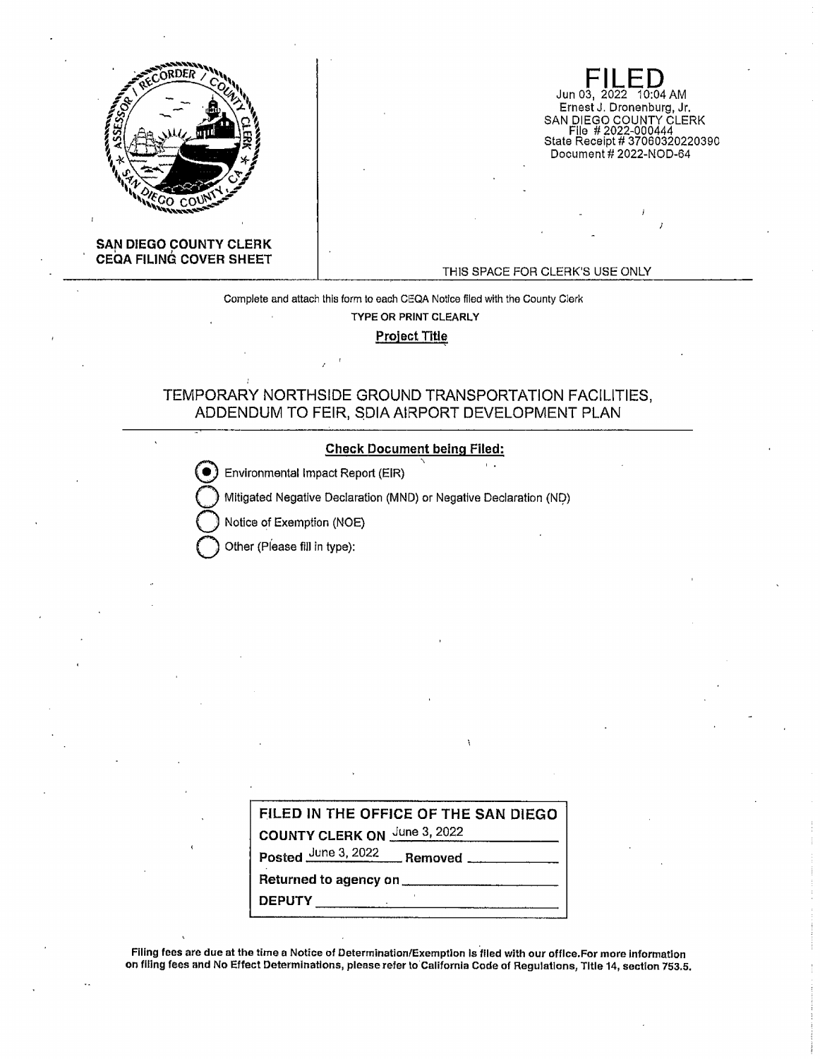

Jun 03, 2022 10:04 AM Ernest J. Dronen burg, Jr. SAN DIEGO COUNTY CLERK Fila # 2022-000444 State Receipt# 37060320220390 Document# 2022-NOD-64

## **SAN DIEGO COUNTY CLERK CEQA FILING COVER SHEET**

#### THIS SPACE FOR CLERK'S USE ONLY

Complete and attach this form to each CEQA Notice filed with the County Clerk

**TYPE OR PRINT CLEARLY** 

**Project Title** 

# TEMPORARY NORTHSIDE GROUND TRANSPORTATION FACILITIES, ADDENDUM TO FEIR, \$DIA AIRPORT DEVELOPMENT PLAN

#### **Check Document being Filed:**

Environmental Impact Report (EIR)

Mitigated Negative Declaration (MND) or Negative Declaration (ND)

Notice of Exemption (NOE)

**0** Other (Please fill in type):

| FILED IN THE OFFICE OF THE SAN DIEGO |
|--------------------------------------|
| COUNTY CLERK ON June 3, 2022         |
|                                      |
| Returned to agency on ____           |
| <b>DEPUTY</b>                        |

Filing fees are due at the time a Notice of Determination/Exemption is filed with our office.For more information on flllng fees and No Effect Determinations, please refer to California Code of Regulations, Title 14, section 753.5,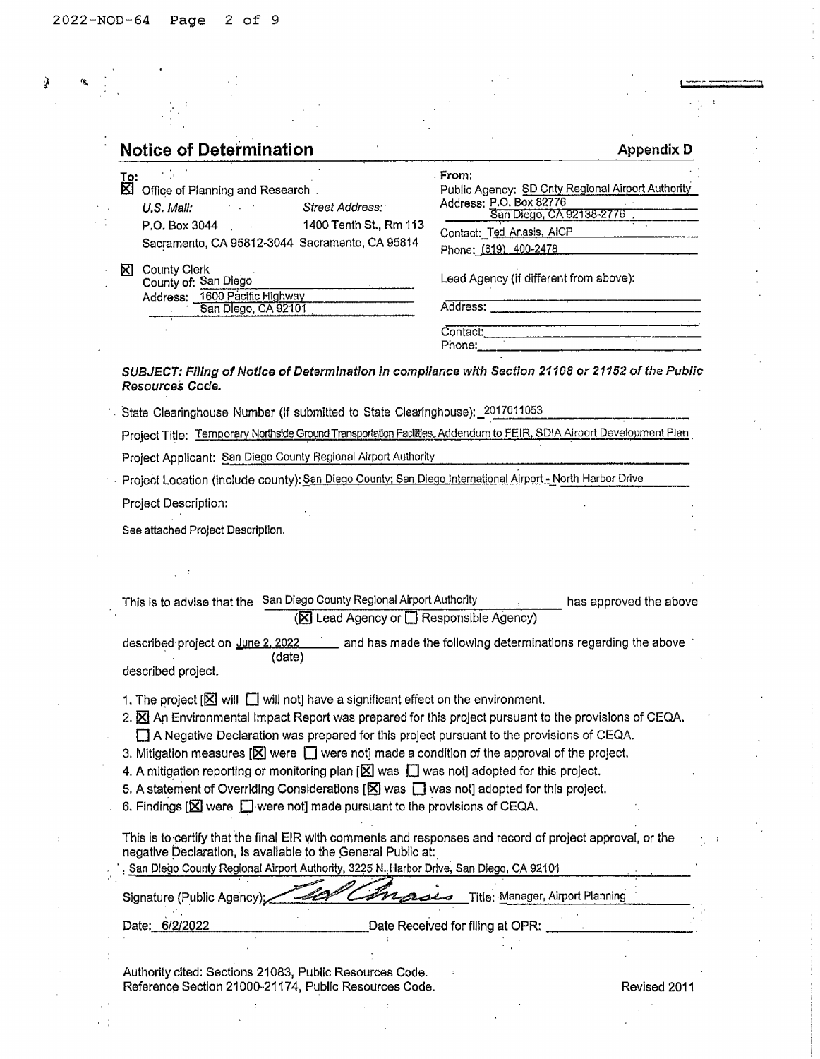$\mathbf{r}$ 

 $\ddot{\phantom{a}}$ 

 $\frac{1}{2}$ 

| <b>Notice of Determination</b>                                                                                                                                                                                                | <b>Appendix D</b>                                   |
|-------------------------------------------------------------------------------------------------------------------------------------------------------------------------------------------------------------------------------|-----------------------------------------------------|
| To:                                                                                                                                                                                                                           | From:                                               |
| ⊠<br>Office of Planning and Research.                                                                                                                                                                                         | Public Agency: SD Cnty Regional Airport Authority   |
| U.S. Mail.<br>Street Address:                                                                                                                                                                                                 | Address: P.O. Box 82776<br>San Diego, CA 92138-2776 |
| 1400 Tenth St., Rm 113<br>P.O. Box 3044                                                                                                                                                                                       | Contact: Ted Anasis, AICP                           |
| Sacramento, CA 95812-3044 Sacramento, CA 95814                                                                                                                                                                                | Phone: (619) 400-2478                               |
| <b>County Clerk</b><br>ΧL                                                                                                                                                                                                     | Lead Agency (if different from above):              |
| County of: San Diego<br>Address: 1600 Pacific Highway                                                                                                                                                                         |                                                     |
| San Diego, CA 92101                                                                                                                                                                                                           | Address:                                            |
|                                                                                                                                                                                                                               | Contact:                                            |
|                                                                                                                                                                                                                               | Phone:                                              |
| SUBJECT: Filing of Notice of Determination in compliance with Section 21108 or 21152 of the Public<br>Resources Code.<br>State Clearinghouse Number (if submitted to State Clearinghouse): 2017011053                         |                                                     |
| Project Title: Temporary Northside Ground Transportation Facilities, Addendum to FEIR, SDIA Airport Development Plan                                                                                                          |                                                     |
| Project Applicant: San Diego County Regional Airport Authority                                                                                                                                                                |                                                     |
| Project Location (include county): San Diego County: San Diego International Alrport - North Harbor Drive                                                                                                                     |                                                     |
|                                                                                                                                                                                                                               |                                                     |
| Project Description:                                                                                                                                                                                                          |                                                     |
| See attached Project Description.                                                                                                                                                                                             |                                                     |
|                                                                                                                                                                                                                               |                                                     |
| This is to advise that the San Diego County Regional Airport Authority<br>(区 Lead Agency or □ Responsible Agency)                                                                                                             | has approved the above                              |
| described project on <u>June 2, 2022</u> ______ and has made the following determinations regarding the above<br>(date)<br>described project.                                                                                 |                                                     |
|                                                                                                                                                                                                                               |                                                     |
| 1. The project $[\boxtimes]$ will $\Box$ will not] have a significant effect on the environment.                                                                                                                              |                                                     |
| 2. $\boxtimes$ An Environmental Impact Report was prepared for this project pursuant to the provisions of CEQA.                                                                                                               |                                                     |
| A Negative Declaration was prepared for this project pursuant to the provisions of CEQA.                                                                                                                                      |                                                     |
| 3. Mitigation measures $[\overline{\mathbf{X}}]$ were $[\cdot]$ were not] made a condition of the approval of the project.                                                                                                    |                                                     |
| 4. A mitigation reporting or monitoring plan $[\boxtimes]$ was $[]$ was not] adopted for this project.<br>5. A statement of Overriding Considerations $[\overline{\mathbf{X}}]$ was $\Box$ was not] adopted for this project. |                                                     |
| 6. Findings $[\mathbf{\boxtimes}]$ were $[\mathbf{\Box}]$ were not] made pursuant to the provisions of CEQA.                                                                                                                  |                                                     |
| This is to certify that the final EIR with comments and responses and record of project approval, or the<br>negative Declaration, is available to the General Public at:                                                      |                                                     |
| San Diego County Regional Airport Authority, 3225 N. Harbor Drive, San Diego, CA 92101<br>Signature (Public Agency);                                                                                                          | Title: Manager, Airport Planning                    |
| Date: 6/2/2022                                                                                                                                                                                                                | Date Received for filing at OPR:                    |
|                                                                                                                                                                                                                               |                                                     |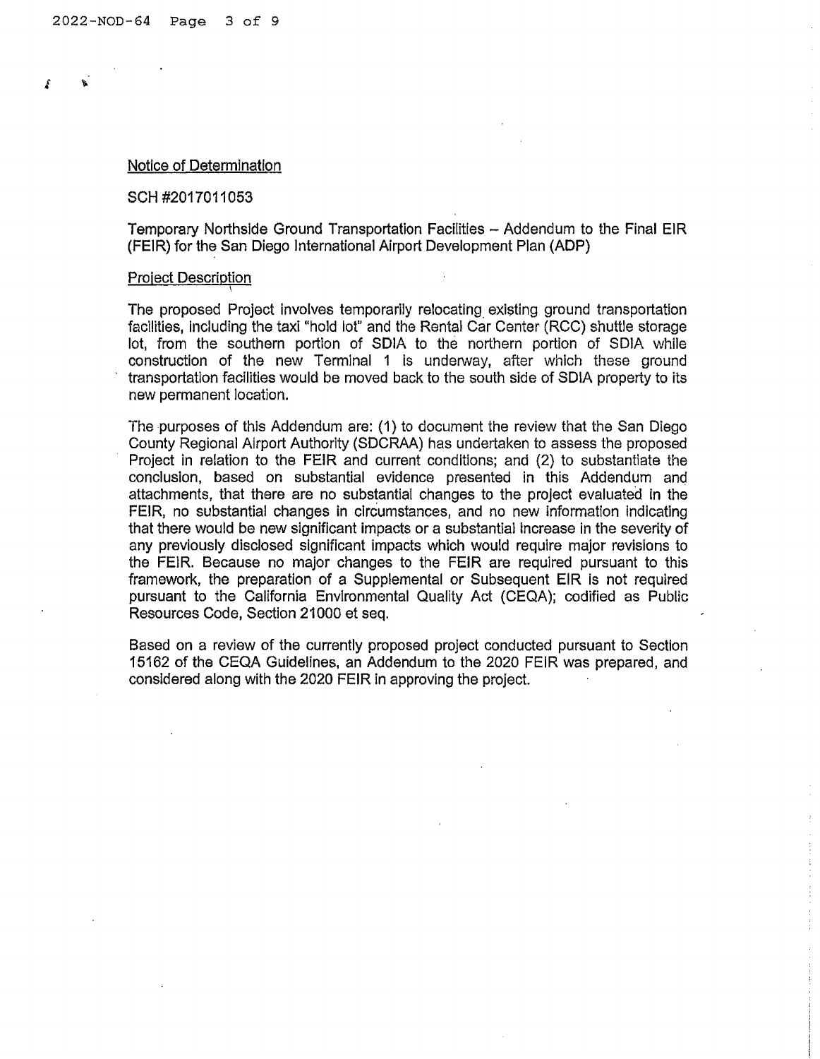### Notice of Determination

### SCH #2017011053

Temporary Northslde Ground Transportation Facilities - Addendum to the Final ElR (FElR) for the San Diego International Airport Development Plan (ADP)

#### Project Description \

The proposed Project involves temporarily relocating existing ground transportation facilities, Including the taxi "hold lot" and the Rental Car Center (RCC) shuttle storage lot, from the southern portion of SDIA to the northern portion of SOJA while construction of the new Terminal 1 is underway, after whlch these ground transportation facilities would be moved back to the south side of SDIA property to its new permanent location.

The purposes of this Addendum are: (1) to document the review that the San Diego County Regional Airport Authority (SDCRAA) has undertaken to assess the proposed Project in relation to the FEIR and current conditions; and (2) to substantiate the conclusion, based on substantial evidence presented in this Addendum and attachments, that there are no substantial changes to the project evaluated in the FEIR, no substantial changes in circumstances, and no new Information Indicating that there would be new significant impacts or a substantial increase in the severity of any previously disclosed significant impacts which would require major revisions to the FElR. Because no major changes to the FEIR are required pursuant to this framework, the preparation of a Supplemental or Subsequent EIR is not required pursuant to the California Envlronmental Quality Act (CEQA); codified as Public Resources Code, Section 21000 et seq.

Based on a review of the currently proposed project conducted pursuant to Section 15162 of the CEQA Guidelines, an Addendum to the 2020 FEIR was prepared, and considered along with the 2020 FEIR In approving the project.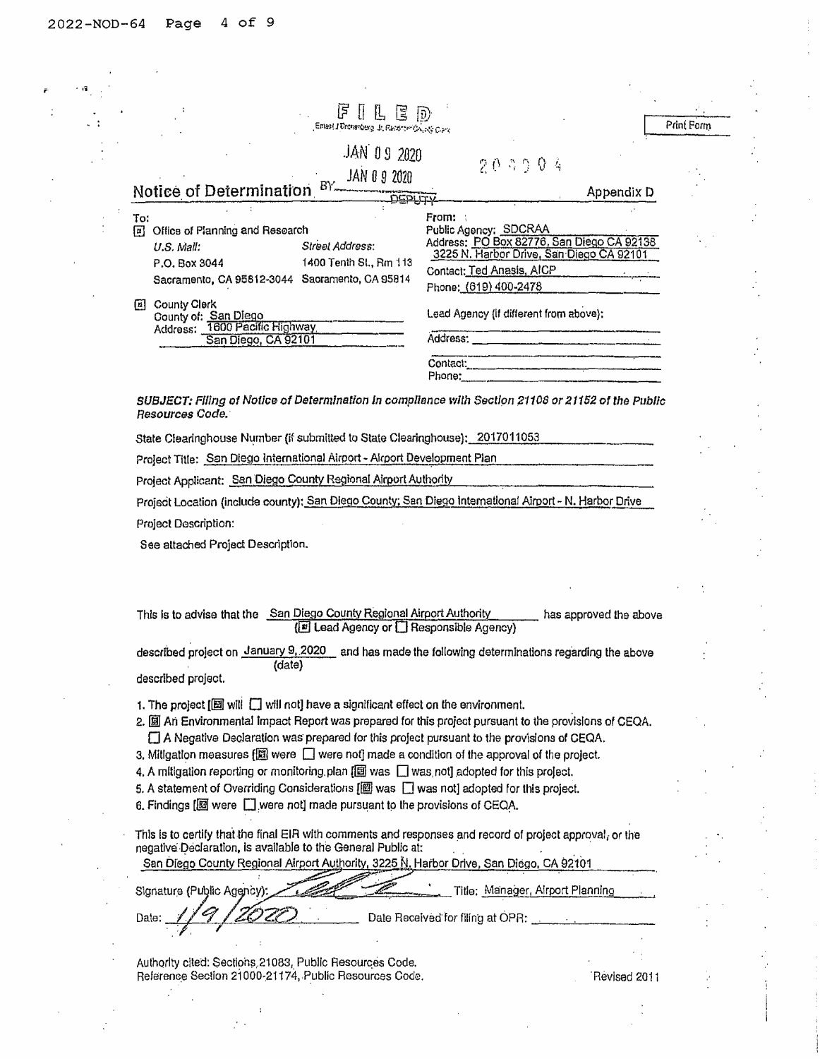$\epsilon/\sqrt{q}$ 

| lF.                                                                                                                                                                                                                                                                                                                                                                                                                                                                                                                                                                                                                                                                                                                                                                                                                                                                         |                                                                                                                                                                                                                                                     |            |
|-----------------------------------------------------------------------------------------------------------------------------------------------------------------------------------------------------------------------------------------------------------------------------------------------------------------------------------------------------------------------------------------------------------------------------------------------------------------------------------------------------------------------------------------------------------------------------------------------------------------------------------------------------------------------------------------------------------------------------------------------------------------------------------------------------------------------------------------------------------------------------|-----------------------------------------------------------------------------------------------------------------------------------------------------------------------------------------------------------------------------------------------------|------------|
| Emast I Dromanberg, Jr. Renorder County Clark                                                                                                                                                                                                                                                                                                                                                                                                                                                                                                                                                                                                                                                                                                                                                                                                                               |                                                                                                                                                                                                                                                     | Print Form |
| JAN 09 2020                                                                                                                                                                                                                                                                                                                                                                                                                                                                                                                                                                                                                                                                                                                                                                                                                                                                 |                                                                                                                                                                                                                                                     |            |
| JAN 0 9 2020                                                                                                                                                                                                                                                                                                                                                                                                                                                                                                                                                                                                                                                                                                                                                                                                                                                                | 203904                                                                                                                                                                                                                                              |            |
| $BY_{m}$<br>Notice of Determination<br><b>DEPLITY</b>                                                                                                                                                                                                                                                                                                                                                                                                                                                                                                                                                                                                                                                                                                                                                                                                                       | Appendix D                                                                                                                                                                                                                                          |            |
| To:                                                                                                                                                                                                                                                                                                                                                                                                                                                                                                                                                                                                                                                                                                                                                                                                                                                                         | From: :                                                                                                                                                                                                                                             |            |
| Office of Planning and Research<br>回                                                                                                                                                                                                                                                                                                                                                                                                                                                                                                                                                                                                                                                                                                                                                                                                                                        | Public Agency; SDCRAA                                                                                                                                                                                                                               |            |
| Street Address:<br>U.S. Mall:                                                                                                                                                                                                                                                                                                                                                                                                                                                                                                                                                                                                                                                                                                                                                                                                                                               | Address: PO Box 82776, San Diego CA 92138<br>3225 N. Harbor Drive, San Diego CA 92101                                                                                                                                                               |            |
| 1400 Tenth St., Rm 113<br>P.O. Box 3044<br>Sacramento, CA 95812-3044 Sacramento, CA 95814                                                                                                                                                                                                                                                                                                                                                                                                                                                                                                                                                                                                                                                                                                                                                                                   | Contact: Ted Anasis, AICP                                                                                                                                                                                                                           |            |
|                                                                                                                                                                                                                                                                                                                                                                                                                                                                                                                                                                                                                                                                                                                                                                                                                                                                             | Phone: (619) 400-2478                                                                                                                                                                                                                               |            |
| <b>El</b> County Clerk<br>County of: San Diego                                                                                                                                                                                                                                                                                                                                                                                                                                                                                                                                                                                                                                                                                                                                                                                                                              | Lead Agency (if different from above);                                                                                                                                                                                                              |            |
| Address: 1600 Pacific Highway<br>San Diego, CA 92101                                                                                                                                                                                                                                                                                                                                                                                                                                                                                                                                                                                                                                                                                                                                                                                                                        |                                                                                                                                                                                                                                                     |            |
|                                                                                                                                                                                                                                                                                                                                                                                                                                                                                                                                                                                                                                                                                                                                                                                                                                                                             |                                                                                                                                                                                                                                                     |            |
|                                                                                                                                                                                                                                                                                                                                                                                                                                                                                                                                                                                                                                                                                                                                                                                                                                                                             | Contact:<br>and the company and states the company of the company of the company of the company of the company of the company of the company of the company of the company of the company of the company of the company of the company of<br>Phone: |            |
|                                                                                                                                                                                                                                                                                                                                                                                                                                                                                                                                                                                                                                                                                                                                                                                                                                                                             |                                                                                                                                                                                                                                                     |            |
| SUBJECT: Filing of Notice of Determination in compliance with Section 21108 or 21152 of the Public<br>Resources Code.                                                                                                                                                                                                                                                                                                                                                                                                                                                                                                                                                                                                                                                                                                                                                       |                                                                                                                                                                                                                                                     |            |
| State Clearinghouse Number (if submitted to State Clearinghouse): 2017011053                                                                                                                                                                                                                                                                                                                                                                                                                                                                                                                                                                                                                                                                                                                                                                                                |                                                                                                                                                                                                                                                     |            |
|                                                                                                                                                                                                                                                                                                                                                                                                                                                                                                                                                                                                                                                                                                                                                                                                                                                                             |                                                                                                                                                                                                                                                     |            |
| Project Title: San Diego International Airport - Airport Development Plan                                                                                                                                                                                                                                                                                                                                                                                                                                                                                                                                                                                                                                                                                                                                                                                                   |                                                                                                                                                                                                                                                     |            |
| Project Applicant: San Diego County Regional Airport Authority                                                                                                                                                                                                                                                                                                                                                                                                                                                                                                                                                                                                                                                                                                                                                                                                              |                                                                                                                                                                                                                                                     |            |
| Project Location (include county); San Diego County; San Diego International Airport - N. Harbor Drive                                                                                                                                                                                                                                                                                                                                                                                                                                                                                                                                                                                                                                                                                                                                                                      |                                                                                                                                                                                                                                                     |            |
| Project Description:                                                                                                                                                                                                                                                                                                                                                                                                                                                                                                                                                                                                                                                                                                                                                                                                                                                        |                                                                                                                                                                                                                                                     |            |
| See attached Project Description.                                                                                                                                                                                                                                                                                                                                                                                                                                                                                                                                                                                                                                                                                                                                                                                                                                           |                                                                                                                                                                                                                                                     |            |
| This is to advise that the San Diego County Regional Airport Authority<br>(El Lead Agency or $\Box$ Responsible Agency)<br>described project on January 9, 2020 and has made the following determinations regarding the above<br>(date)<br>described project.<br>1. The project [圖 will □ will not] have a significant effect on the environment.<br>2. I An Environmental Impact Report was prepared for this project pursuant to the provisions of CEQA.<br>[ A Negative Declaration was prepared for this project pursuant to the provisions of CEQA.<br>3. Miligation measures $\boxed{2}$ were $\boxed{ }$ were not made a condition of the approval of the project.<br>4. A miligation reporting or monitoring plan $[\Box]$ was $\Box$ was not] adopted for this project.<br>5. A statement of Overriding Considerations [國 was □ was not] adopted for this project. | has approved the above                                                                                                                                                                                                                              |            |
| 6. Findings [图 were [ ] were not] made pursuant to the provisions of CEQA.                                                                                                                                                                                                                                                                                                                                                                                                                                                                                                                                                                                                                                                                                                                                                                                                  |                                                                                                                                                                                                                                                     |            |
| This is to certify that the final EIR with comments and responses and record of project approval, or the<br>negative Declaration, is available to the General Public at:<br>San Diego County Regional Airport Authority, 3225 N. Harbor Drive, San Diego, CA 92101                                                                                                                                                                                                                                                                                                                                                                                                                                                                                                                                                                                                          |                                                                                                                                                                                                                                                     |            |
|                                                                                                                                                                                                                                                                                                                                                                                                                                                                                                                                                                                                                                                                                                                                                                                                                                                                             |                                                                                                                                                                                                                                                     |            |
| Signature (Public Agency):                                                                                                                                                                                                                                                                                                                                                                                                                                                                                                                                                                                                                                                                                                                                                                                                                                                  | Title: Manager, Airport Planning                                                                                                                                                                                                                    |            |
| Date                                                                                                                                                                                                                                                                                                                                                                                                                                                                                                                                                                                                                                                                                                                                                                                                                                                                        | Date Received for filing at OPR:                                                                                                                                                                                                                    |            |
|                                                                                                                                                                                                                                                                                                                                                                                                                                                                                                                                                                                                                                                                                                                                                                                                                                                                             |                                                                                                                                                                                                                                                     |            |
| Authority cited: Sections, 21083, Public Resources Code.<br>Reference Section 21000-21174, Public Resources Code.                                                                                                                                                                                                                                                                                                                                                                                                                                                                                                                                                                                                                                                                                                                                                           |                                                                                                                                                                                                                                                     |            |
|                                                                                                                                                                                                                                                                                                                                                                                                                                                                                                                                                                                                                                                                                                                                                                                                                                                                             | Revised 2011                                                                                                                                                                                                                                        |            |
|                                                                                                                                                                                                                                                                                                                                                                                                                                                                                                                                                                                                                                                                                                                                                                                                                                                                             |                                                                                                                                                                                                                                                     |            |

 $\frac{1}{2}$  .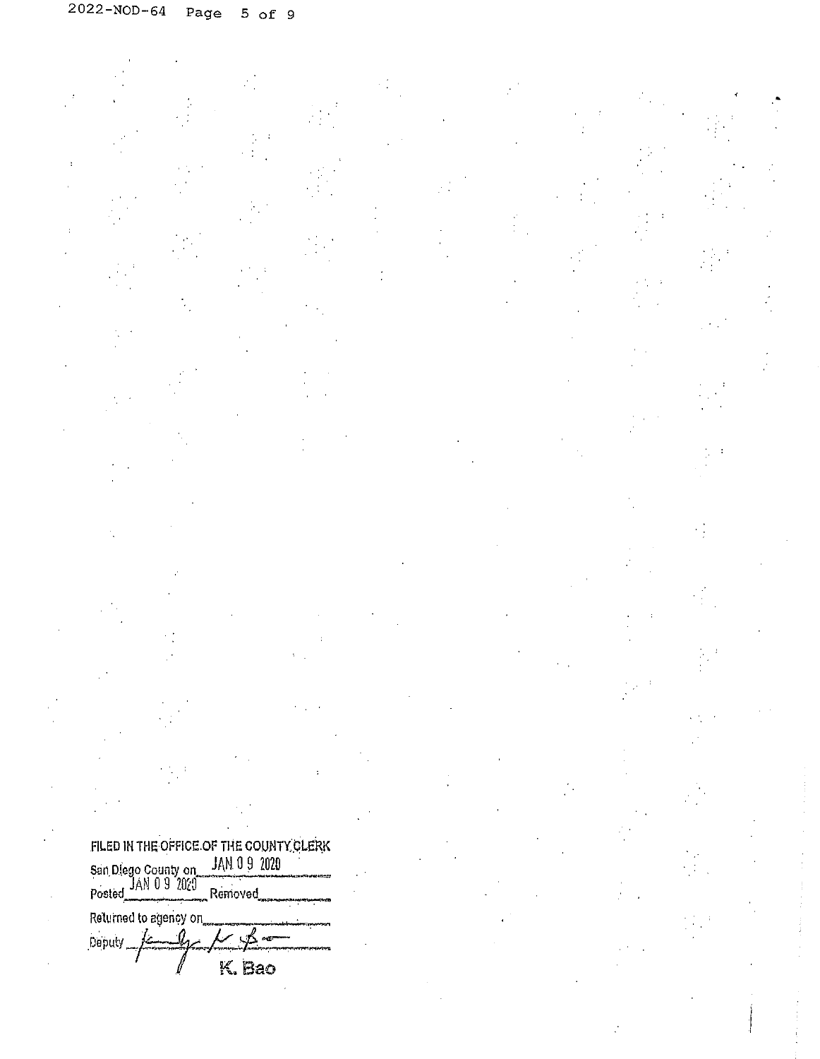FILED IN THE OFFICE OF THE COUNTY CLERK<br>San Diego County on JAN 0 9 2020 San Diego County on JAN 0 9 2<br>JAN 0 9 2020<br>Posted Removed Returned to agency on Deputy K. Bao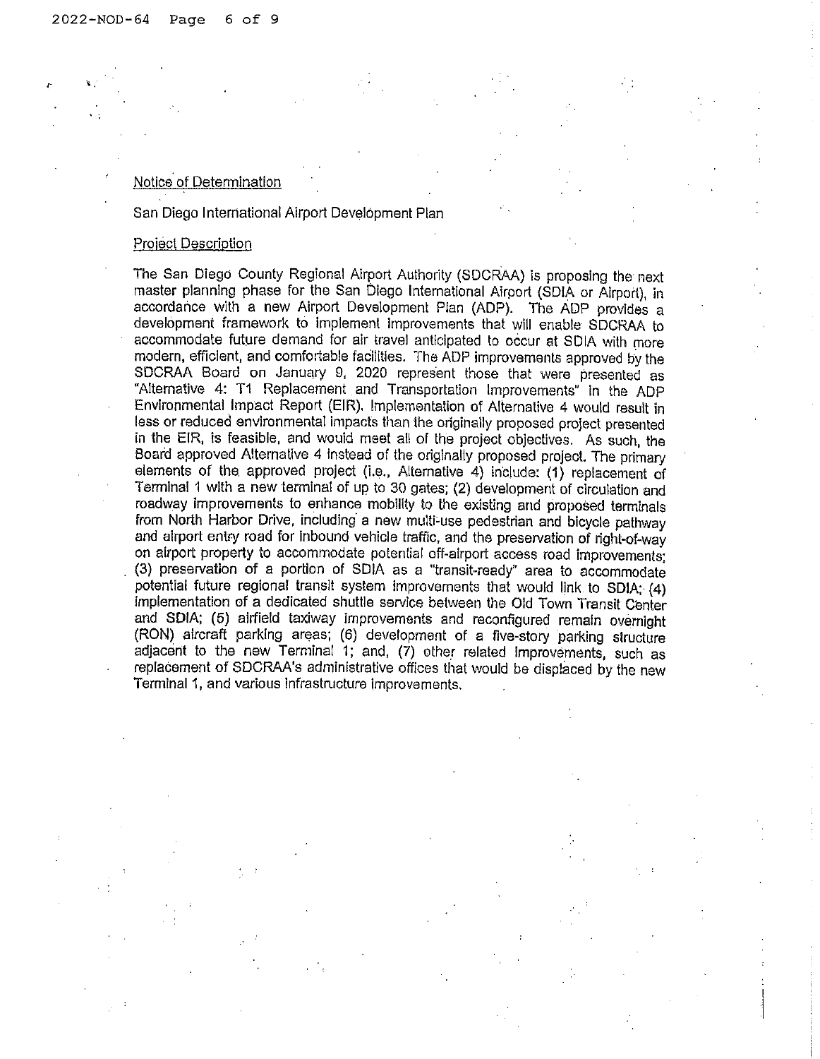#### Notice of Determination

### San Diego International Airport Development Plan

### Project Description

The San Diego County Regional Airport Authority (SDCRAA) is proposing the next master planning phase for the San Diego International Airport (SDIA or Airport), in accordance with a new Airport Development Plan (ADP). The ADP provides a development framework to implement improvements that will enable SDCRAA to accommodate future demand for air travel anticipated to occur at SDIA with more modern, efficient, and comfortable facilities. The ADP improvements approved by the SDCRAA Board on January 9, 2020 represent those that were presented as "Alternative 4: T1 Replacement and Transportation Improvements" in the ADP Environmental Impact Report (EIR). Implementation of Alternative 4 would result in less or reduced environmental impacts than the originally proposed project presented in the EIR, is feasible, and would meet all of the project objectives. As such, the Soard approved Alternative 4 Instead of the originally proposed project. The primary elements of the. approved project (i.e., Alternative 4) include: (1) replacement of Terminal 1 with a new terminal of up to 30 gates; (2) development of circulation and roadway improvements to enhance mobility to the existing and proposed terminals from North Harbor Drive, including a new multi-use pedestrian and bicycle pathway and airport entry road for inbound vehicle traffic, and the preservation of right-of-way on airport property to accommodate potential off-airport access road improvements; (3) preservation of a portion of SDIA as a "transit-ready" area to accommodate potential future regional transit system improvements that would link to SDIA;  $(4)$ Implementation of a dedicated shuttle service between the Old Town Transit Center and SDIA; (5) airfield taxiway improvements and reconfigured remain overnight (RON) aircraft parking areas; (6) development of a five-story parking structure adjacent to the new Terminal 1; and, (7) other related improvements, such as replacement of SDCRAA's administrative offices that would be displaced by the new Terminal 1, and various infrastructure Improvements.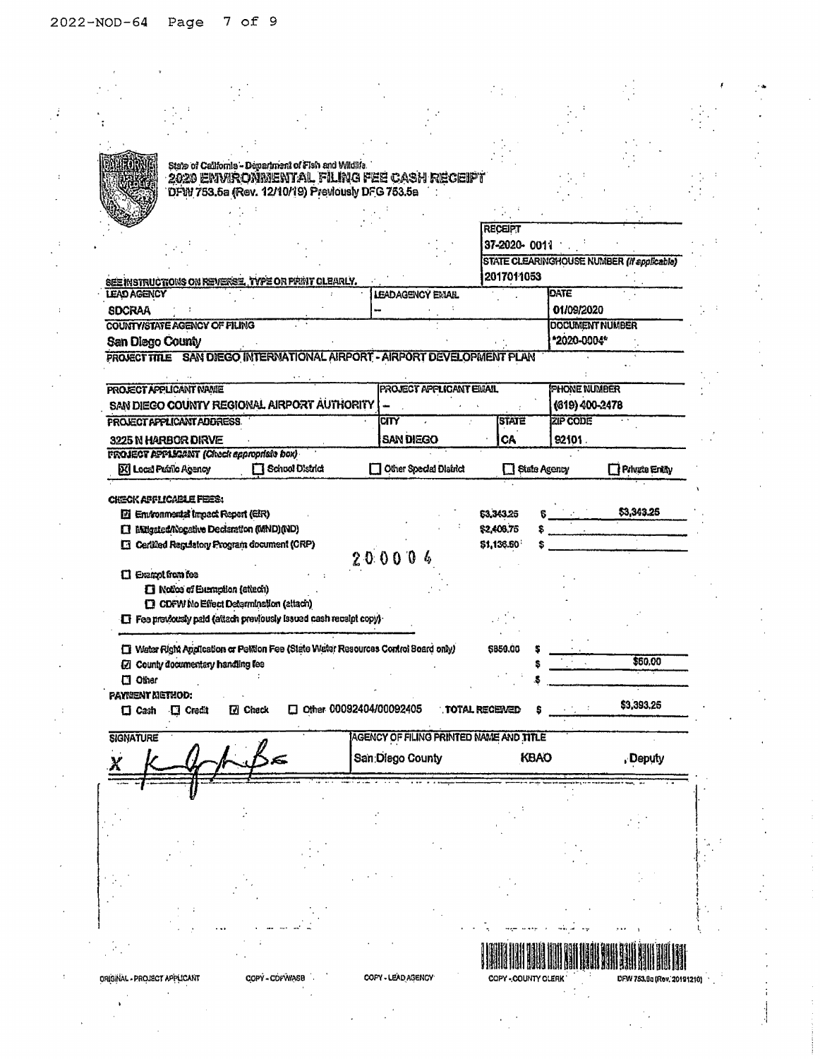t

 $\frac{1}{2}$ 

|                         |                                                                                    |                | State of California - Department of Fish and Wildlife                                |                         |                                         |                       |              |      |                        |                                                   |
|-------------------------|------------------------------------------------------------------------------------|----------------|--------------------------------------------------------------------------------------|-------------------------|-----------------------------------------|-----------------------|--------------|------|------------------------|---------------------------------------------------|
|                         |                                                                                    |                | 2020 EWVRONMENTAL FILING FEE CASH RECEIPT                                            |                         |                                         |                       |              |      |                        |                                                   |
|                         |                                                                                    |                | DFW 753.5a (Rev. 12/10/19) Previously DFG 753.5a                                     |                         |                                         |                       |              |      |                        |                                                   |
|                         |                                                                                    |                |                                                                                      |                         |                                         |                       |              |      |                        |                                                   |
|                         |                                                                                    |                |                                                                                      |                         |                                         | <b>RECEIPT</b>        |              |      |                        |                                                   |
|                         |                                                                                    |                |                                                                                      |                         |                                         |                       |              |      |                        |                                                   |
|                         |                                                                                    |                |                                                                                      |                         |                                         |                       | 37-2020-0011 |      |                        |                                                   |
|                         |                                                                                    |                |                                                                                      |                         |                                         |                       |              |      |                        | <b>STATE CLEARINGHOUSE NUMBER (If applicable)</b> |
|                         |                                                                                    |                | SEE INSTRUCTIONS ON REVERSE, TYPE OR PRINT CLEARLY.                                  |                         |                                         |                       | 2017011053   |      |                        |                                                   |
| <b>LEAD AGENCY</b>      |                                                                                    |                |                                                                                      | <b>LEADAGENCY EMAIL</b> |                                         |                       |              |      | DATE                   |                                                   |
| SDCRAA                  |                                                                                    |                |                                                                                      |                         |                                         |                       |              |      | 01/09/2020             |                                                   |
|                         | COUNTY/STATE AGENCY OF FILING                                                      |                |                                                                                      |                         |                                         |                       |              |      | <b>DOCUMENT NUMBER</b> |                                                   |
| San Diego County        |                                                                                    |                |                                                                                      |                         |                                         |                       |              |      | *2020-0004*            |                                                   |
|                         |                                                                                    |                | PROJECT TITLE SAN DIEGO INTERNATIONAL AIRPORT - AIRPORT DEVELOPMENT PLAN             |                         |                                         |                       |              |      |                        |                                                   |
|                         |                                                                                    |                |                                                                                      |                         |                                         |                       |              |      |                        |                                                   |
|                         | <b>PROJECT APPLICANT NAME</b>                                                      |                |                                                                                      |                         | <b>PROJECT APPLICANT EMAIL</b>          |                       |              |      | <b>PHONE NUMBER</b>    |                                                   |
|                         |                                                                                    |                | SAN DIEGO COUNTY REGIONAL AIRPORT AUTHORITY                                          |                         |                                         |                       |              |      | (619) 400-2478         |                                                   |
|                         | <b>PROJECT APPLICANT ADDRESS.</b>                                                  |                |                                                                                      | CITY                    |                                         |                       | <b>STATE</b> |      | <b>ZIP CODE</b>        |                                                   |
|                         |                                                                                    |                |                                                                                      |                         |                                         |                       |              |      |                        |                                                   |
|                         |                                                                                    |                |                                                                                      |                         |                                         |                       |              |      |                        |                                                   |
|                         | 3225 N HARBOR DIRVE                                                                |                |                                                                                      | <b>SAN DIEGO</b>        |                                         |                       | <b>CA</b>    |      | 92101                  |                                                   |
|                         | <b>FROJECT APPLICANT (Check appropriate box)</b><br><b>DCI Local Public Agency</b> |                | <b>N</b> School District                                                             |                         | Other Special District                  |                       | Rists Agency |      |                        |                                                   |
|                         |                                                                                    |                |                                                                                      |                         |                                         |                       |              |      |                        |                                                   |
|                         | CHECK AFFIICARLE FEES:                                                             |                |                                                                                      |                         |                                         |                       |              |      |                        |                                                   |
|                         | <b>Di Environmental Impact Report (EIR)</b>                                        |                |                                                                                      |                         |                                         | 63,343.25             |              |      |                        | \$3,343,25                                        |
|                         | [1] Mitgated/Negative Declaration (MND) (ND)                                       |                |                                                                                      |                         |                                         | \$2,408.76            |              |      |                        |                                                   |
|                         | <b>El Certited Repulsion Program document (CRP)</b>                                |                |                                                                                      |                         |                                         | \$1,136.50            |              |      |                        |                                                   |
|                         |                                                                                    |                |                                                                                      | 200004                  |                                         |                       |              |      |                        |                                                   |
| <b>II</b> Examplementee |                                                                                    |                |                                                                                      |                         |                                         |                       |              |      |                        |                                                   |
|                         | <b>I Notice of Euroption (attack)</b>                                              |                |                                                                                      |                         |                                         |                       |              |      |                        |                                                   |
|                         | <b>D</b> CDFW No Effect Determination (attach)                                     |                |                                                                                      |                         |                                         |                       |              |      |                        |                                                   |
|                         |                                                                                    |                | $\Box$ Fee proviously paid (attach proviously issued cash receipt copy)              |                         |                                         |                       |              |      |                        |                                                   |
|                         |                                                                                    |                |                                                                                      |                         |                                         |                       |              |      |                        |                                                   |
|                         |                                                                                    |                | [ Water Right Application or Petition Fee (State Water Resources Control Board only) |                         |                                         | 5850.00               |              |      |                        |                                                   |
|                         | [7] County documentary handling fee                                                |                |                                                                                      |                         |                                         |                       |              |      |                        | \$60.00                                           |
| $\Box$ Other            |                                                                                    |                |                                                                                      |                         |                                         |                       |              |      |                        |                                                   |
| paynent Nethod:         |                                                                                    |                |                                                                                      |                         |                                         |                       |              |      |                        |                                                   |
| $\Box$ Cash             | $\Box$ Credit                                                                      | <b>I</b> Check | $\Box$ Other 00092404/00092405                                                       |                         |                                         | <b>TOTAL RECEIVED</b> |              |      |                        | \$3,393.25                                        |
|                         |                                                                                    |                |                                                                                      |                         |                                         |                       |              |      |                        |                                                   |
| <b>SIGNATURE</b>        |                                                                                    |                |                                                                                      |                         | AGENCY OF FILING PRINTED NAME AND TITLE |                       |              |      |                        | <b>Private Entity</b>                             |
|                         |                                                                                    |                |                                                                                      | San Diego County        |                                         |                       |              | KBAO |                        | , Deputy                                          |

<u> I grafija Bila koja pod saraje grafija i pr</u> COPY - COUNTY CLERK

 $\sim$  1  $\mathcal{A}$ 

 $\frac{1}{2}$  ,  $\frac{1}{2}$ 

 $\mathcal{F}_{\mathcal{A}}^{(1)}$ 

DFW 753.0a (Rev. 20191210)

**ORIGINAL - PROJECT APPLICANT** 

COPY - COPWASE ÷,

 $\ddot{\phantom{a}}$ 

COPY - LEAD AGENCY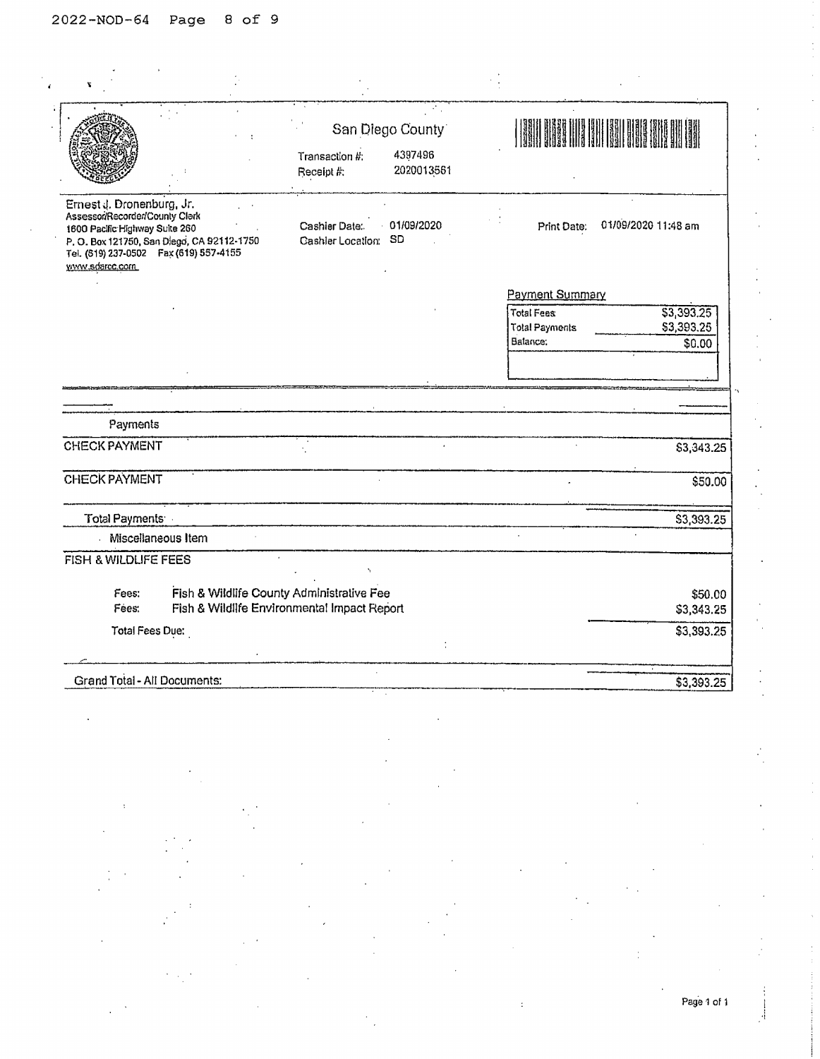| ۳                                                                                                                                                                                                        |                                                                                          |                                           |                                                        |                                    |
|----------------------------------------------------------------------------------------------------------------------------------------------------------------------------------------------------------|------------------------------------------------------------------------------------------|-------------------------------------------|--------------------------------------------------------|------------------------------------|
|                                                                                                                                                                                                          | Transaction #:<br>Receipt #:                                                             | San Diego County<br>4397496<br>2020013561 |                                                        |                                    |
| Ernest J. Dronenburg, Jr.<br>Assessor/Recorder/County Clerk<br>1600 Pacific Highway Suite 260<br>P. O. Box 121750, San Diego, CA 92112-1750<br>Tel. (519) 237-0502  Fax (619) 557-4155<br>www.sdarcc.com | Cashier Date:<br><b>Gashler Location:</b>                                                | 01/09/2020<br><b>SD</b>                   | Print Date:                                            | 01/09/2020 11:48 am                |
|                                                                                                                                                                                                          |                                                                                          |                                           | Payment Summary                                        |                                    |
|                                                                                                                                                                                                          |                                                                                          |                                           | <b>Total Fees</b><br><b>Total Payments</b><br>Batance: | \$3,393.25<br>\$3,393.25<br>\$0.00 |
|                                                                                                                                                                                                          |                                                                                          |                                           |                                                        |                                    |
|                                                                                                                                                                                                          |                                                                                          |                                           |                                                        |                                    |
| Payments                                                                                                                                                                                                 |                                                                                          |                                           |                                                        |                                    |
| <b>CHECK PAYMENT</b>                                                                                                                                                                                     |                                                                                          |                                           |                                                        | \$3,343.25                         |
| <b>CHECK PAYMENT</b>                                                                                                                                                                                     |                                                                                          |                                           |                                                        | \$50.00                            |
| Total Payments                                                                                                                                                                                           |                                                                                          |                                           |                                                        | \$3,393.25                         |
| Miscellaneous Item                                                                                                                                                                                       |                                                                                          |                                           |                                                        |                                    |
| <b>FISH &amp; WILDLIFE FEES</b>                                                                                                                                                                          |                                                                                          |                                           |                                                        |                                    |
| Fees:<br>Fees:                                                                                                                                                                                           | Fish & Wildlife County Administrative Fee<br>Fish & Wildlife Environmental Impact Report |                                           |                                                        | \$50.00                            |
|                                                                                                                                                                                                          |                                                                                          |                                           |                                                        | \$3,343.25                         |
| Total Fees Due:                                                                                                                                                                                          |                                                                                          |                                           |                                                        | \$3,393.25                         |
| Grand Total - All Documents:                                                                                                                                                                             |                                                                                          |                                           |                                                        | \$3,393.25                         |

Page 1 of 1

 $\mathcal{A}$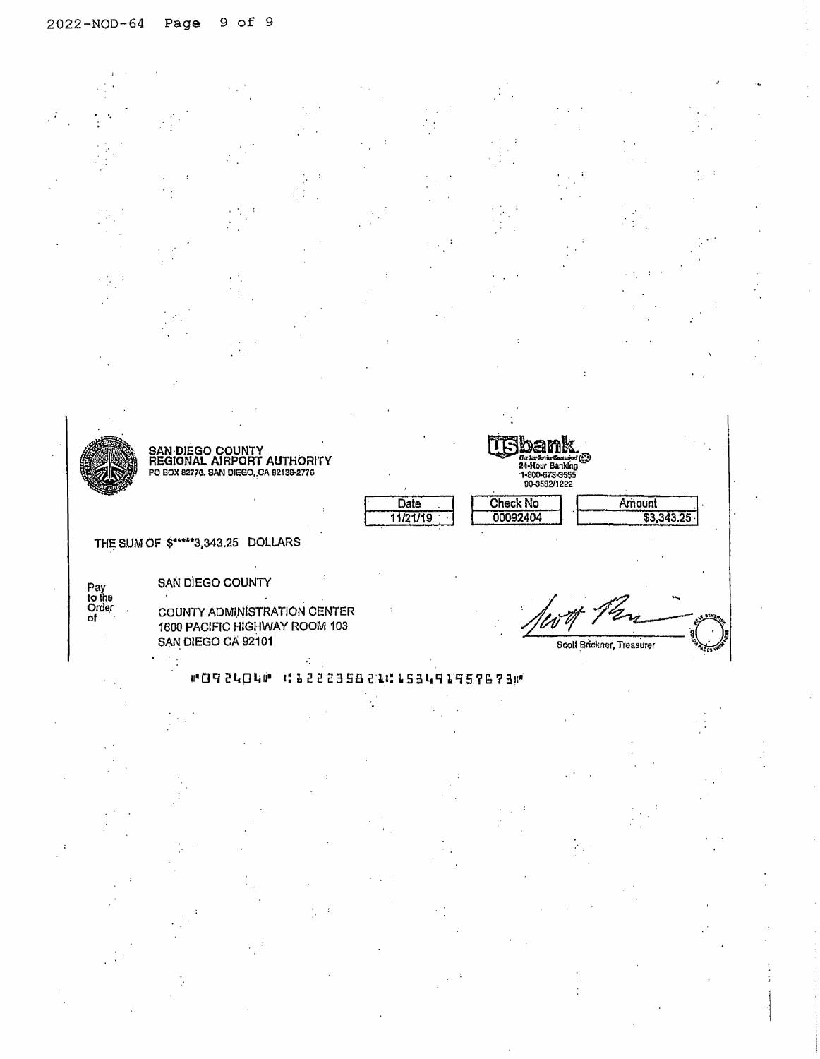

COUNTY ADMINISTRATION CENTER 1600 PACIFIC HIGHWAY ROOM 103 SAN DIEGO CA 92101



# #092404# 111222358211153491957673#

 $\mathcal{L}_{\mathcal{A}}$